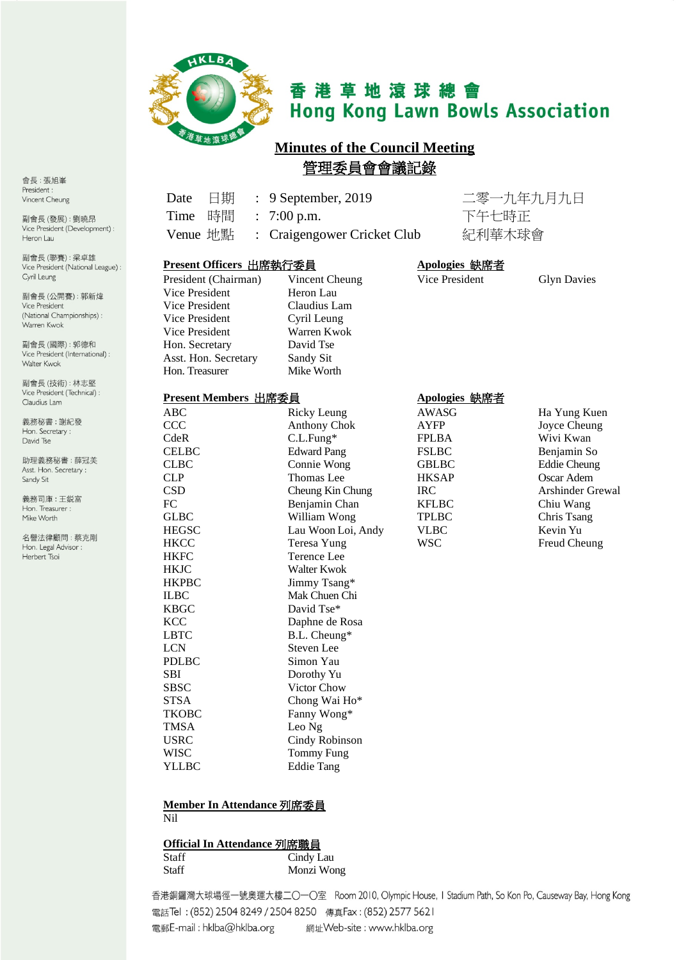

# 香港草地滾球總會 **Hong Kong Lawn Bowls Association**

## **Minutes of the Council Meeting** 管理委員會會議記錄

Date 日期 : 9 September, 2019 二零一九年九月九日

| 昂                 | 時間<br>下午七時正<br>Time<br>$7:00$ p.m.<br>$\ddot{\cdot}$ |                           |                |                     |
|-------------------|------------------------------------------------------|---------------------------|----------------|---------------------|
| pment):           | Venue 地點<br>$\ddot{\cdot}$                           | Craigengower Cricket Club | 紀利華木球會         |                     |
| 雄<br>al League) : | Present Officers 出席執行委員                              |                           | Apologies 缺席者  |                     |
|                   | President (Chairman)                                 | Vincent Cheung            | Vice President | <b>Glyn Davies</b>  |
| 新煒                | Vice President                                       | Heron Lau                 |                |                     |
|                   | Vice President                                       | Claudius Lam              |                |                     |
| ips):             | Vice President                                       | Cyril Leung               |                |                     |
|                   | Vice President                                       | Warren Kwok               |                |                     |
| 和                 | Hon. Secretary                                       | David Tse                 |                |                     |
| tional):          | Asst. Hon. Secretary                                 | Sandy Sit                 |                |                     |
|                   | Hon. Treasurer                                       | Mike Worth                |                |                     |
| 堅<br>$cal)$ :     |                                                      |                           |                |                     |
|                   | Present Members 出席委員                                 |                           | Apologies 缺席者  |                     |
|                   | ABC                                                  | <b>Ricky Leung</b>        | <b>AWASG</b>   | Ha Yung Kuen        |
|                   | CCC                                                  | <b>Anthony Chok</b>       | <b>AYFP</b>    | Joyce Cheung        |
|                   | CdeR                                                 | $C.L.Fung*$               | <b>FPLBA</b>   | Wivi Kwan           |
|                   | <b>CELBC</b>                                         | <b>Edward Pang</b>        | <b>FSLBC</b>   | Benjamin So         |
| 镁                 | <b>CLBC</b>                                          | Connie Wong               | <b>GBLBC</b>   | <b>Eddie Cheung</b> |
|                   | <b>CLP</b>                                           | <b>Thomas Lee</b>         | <b>HKSAP</b>   | Oscar Adem          |
|                   | <b>CSD</b>                                           | Cheung Kin Chung          | <b>IRC</b>     | Arshinder Grewal    |
|                   | FC                                                   | Benjamin Chan             | <b>KFLBC</b>   | Chiu Wang           |
|                   | <b>GLBC</b>                                          | William Wong              | <b>TPLBC</b>   | Chris Tsang         |
| 唰                 | <b>HEGSC</b>                                         | Lau Woon Loi, Andy        | <b>VLBC</b>    | Kevin Yu            |
|                   | <b>HKCC</b>                                          | Teresa Yung               | <b>WSC</b>     | Freud Cheung        |
|                   | <b>HKFC</b>                                          | Terence Lee               |                |                     |
|                   | <b>HKJC</b>                                          | Walter Kwok               |                |                     |
|                   | <b>HKPBC</b>                                         | Jimmy Tsang*              |                |                     |
|                   | <b>ILBC</b>                                          | Mak Chuen Chi             |                |                     |
|                   | <b>KBGC</b>                                          | David Tse*                |                |                     |
|                   | <b>KCC</b>                                           | Daphne de Rosa            |                |                     |
|                   | <b>LBTC</b>                                          | B.L. Cheung*              |                |                     |
|                   | <b>LCN</b>                                           | Steven Lee                |                |                     |
|                   | <b>PDLBC</b>                                         | Simon Yau                 |                |                     |
|                   | <b>SBI</b>                                           | Dorothy Yu                |                |                     |
|                   | <b>SBSC</b><br><b>STSA</b>                           | Victor Chow               |                |                     |
|                   |                                                      | Chong Wai Ho*             |                |                     |
|                   | <b>TKOBC</b><br><b>TMSA</b>                          | Fanny Wong*               |                |                     |
|                   |                                                      | Leo Ng                    |                |                     |

## **Member In Attendance** 列席委員

USRC Cindy Robinson<br>WISC Tommy Fung WISC Tommy Fung<br>
YLLBC Eddie Tang

Eddie Tang

Nil

#### **Official In Attendance** 列席職員

| Staff | Cindy Lau  |
|-------|------------|
| Staff | Monzi Wong |

香港銅鑼灣大球場徑一號奧運大樓二〇一〇室 Room 2010, Olympic House, I Stadium Path, So Kon Po, Causeway Bay, Hong Kong 電話Tel: (852) 2504 8249 / 2504 8250 傳真Fax: (852) 2577 5621 電郵E-mail: hklba@hklba.org 網址Web-site: www.hklba.org

會長:張旭峯 President: Vincent Cheung

副會長(發展):劉曉 Vice President (Develo Heron Lau

副會長(聯賽):梁卓 Vice President (Nationa Cyril Leung

副會長(公開賽):郭 Vice President (National Championsh Warren Kwok

副會長(國際): 郭德 Vice President (Internat Walter Kwok

副會長(技術):林志 Vice President (Technic Claudius Lam

義務秘書:謝紀發 Hon. Secretary: David Tse

助理義務秘書:薛冠 Asst. Hon. Secretary : Sandy Sit

義務司庫:王鋭富 Hon. Treasurer : Mike Worth

名譽法律顧問:蔡克 Hon. Legal Advisor : Herbert Tsoi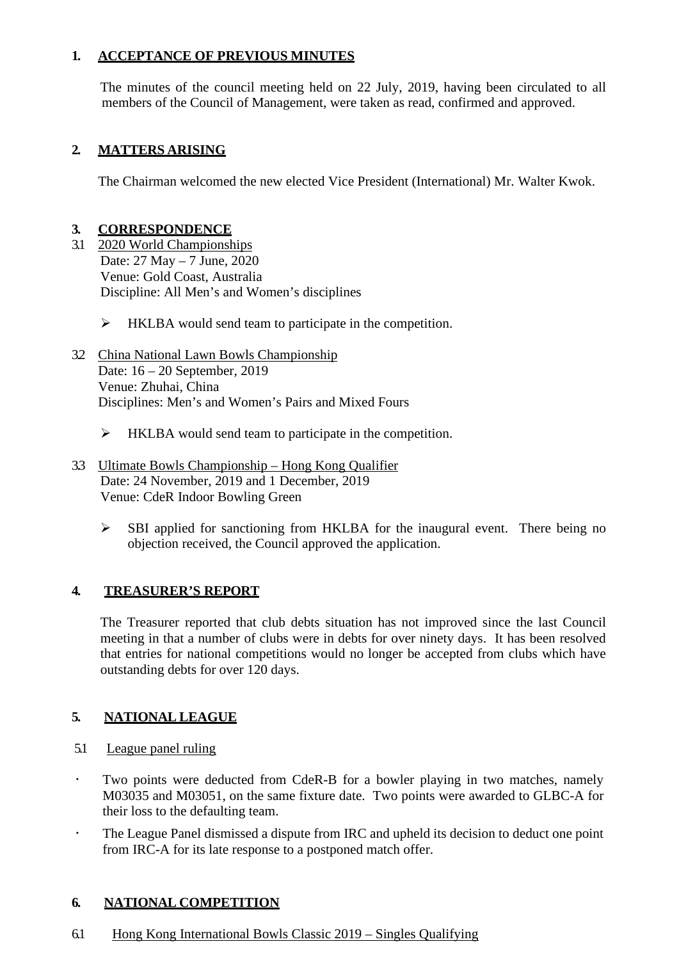#### **1. ACCEPTANCE OF PREVIOUS MINUTES**

The minutes of the council meeting held on 22 July, 2019, having been circulated to all members of the Council of Management, were taken as read, confirmed and approved.

#### **2. MATTERS ARISING**

The Chairman welcomed the new elected Vice President (International) Mr. Walter Kwok.

#### **3. CORRESPONDENCE**

- 3.1 2020 World Championships Date: 27 May – 7 June, 2020 Venue: Gold Coast, Australia Discipline: All Men's and Women's disciplines
	- $\triangleright$  HKLBA would send team to participate in the competition.
- 3.2 China National Lawn Bowls Championship Date: 16 – 20 September, 2019 Venue: Zhuhai, China Disciplines: Men's and Women's Pairs and Mixed Fours
	- $\triangleright$  HKLBA would send team to participate in the competition.
- 3.3 Ultimate Bowls Championship Hong Kong Qualifier Date: 24 November, 2019 and 1 December, 2019 Venue: CdeR Indoor Bowling Green
	- $\triangleright$  SBI applied for sanctioning from HKLBA for the inaugural event. There being no objection received, the Council approved the application.

#### **4. TREASURER'S REPORT**

The Treasurer reported that club debts situation has not improved since the last Council meeting in that a number of clubs were in debts for over ninety days. It has been resolved that entries for national competitions would no longer be accepted from clubs which have outstanding debts for over 120 days.

#### **5. NATIONAL LEAGUE**

- 5.1 League panel ruling
- Two points were deducted from CdeR-B for a bowler playing in two matches, namely M03035 and M03051, on the same fixture date. Two points were awarded to GLBC-A for their loss to the defaulting team.
- The League Panel dismissed a dispute from IRC and upheld its decision to deduct one point from IRC-A for its late response to a postponed match offer.

#### **6. NATIONAL COMPETITION**

6.1 Hong Kong International Bowls Classic 2019 – Singles Qualifying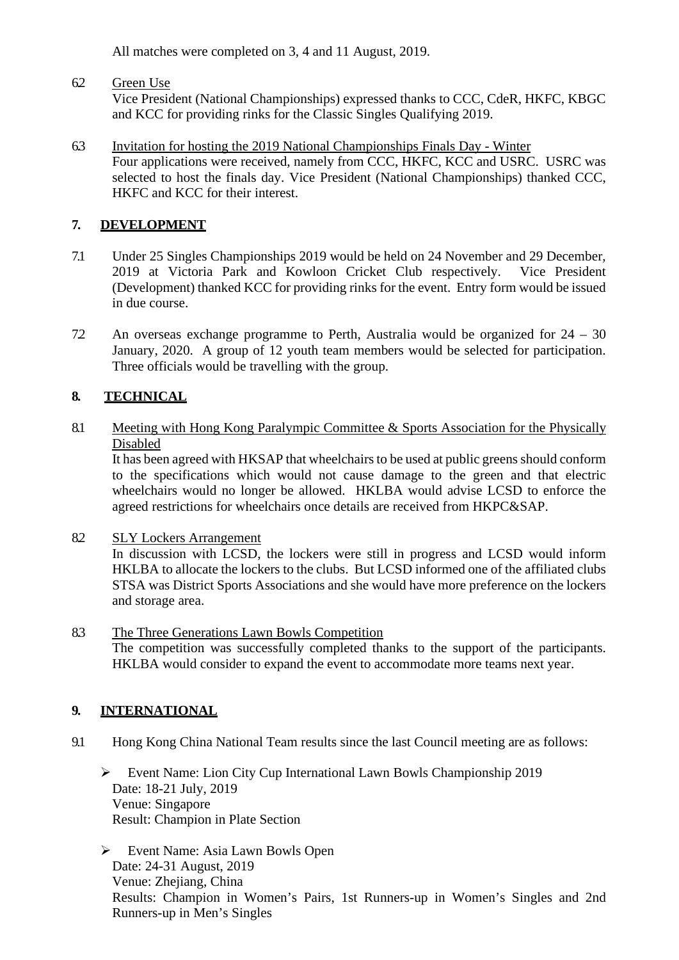All matches were completed on 3, 4 and 11 August, 2019.

#### 6.2 Green Use

Vice President (National Championships) expressed thanks to CCC, CdeR, HKFC, KBGC and KCC for providing rinks for the Classic Singles Qualifying 2019.

6.3 Invitation for hosting the 2019 National Championships Finals Day - Winter Four applications were received, namely from CCC, HKFC, KCC and USRC. USRC was selected to host the finals day. Vice President (National Championships) thanked CCC, HKFC and KCC for their interest.

#### **7. DEVELOPMENT**

- 7.1 Under 25 Singles Championships 2019 would be held on 24 November and 29 December, 2019 at Victoria Park and Kowloon Cricket Club respectively. Vice President (Development) thanked KCC for providing rinks for the event. Entry form would be issued in due course.
- 7.2 An overseas exchange programme to Perth, Australia would be organized for 24 30 January, 2020. A group of 12 youth team members would be selected for participation. Three officials would be travelling with the group.

## **8. TECHNICAL**

#### 8.1 Meeting with Hong Kong Paralympic Committee & Sports Association for the Physically Disabled

It has been agreed with HKSAP that wheelchairs to be used at public greens should conform to the specifications which would not cause damage to the green and that electric wheelchairs would no longer be allowed. HKLBA would advise LCSD to enforce the agreed restrictions for wheelchairs once details are received from HKPC&SAP.

8.2 SLY Lockers Arrangement

In discussion with LCSD, the lockers were still in progress and LCSD would inform HKLBA to allocate the lockers to the clubs. But LCSD informed one of the affiliated clubs STSA was District Sports Associations and she would have more preference on the lockers and storage area.

8.3 The Three Generations Lawn Bowls Competition The competition was successfully completed thanks to the support of the participants. HKLBA would consider to expand the event to accommodate more teams next year.

#### **9. INTERNATIONAL**

- 9.1 Hong Kong China National Team results since the last Council meeting are as follows:
	- Event Name: Lion City Cup International Lawn Bowls Championship 2019 Date: 18-21 July, 2019 Venue: Singapore Result: Champion in Plate Section
	- Event Name: Asia Lawn Bowls Open Date: 24-31 August, 2019 Venue: Zhejiang, China Results: Champion in Women's Pairs, 1st Runners-up in Women's Singles and 2nd Runners-up in Men's Singles